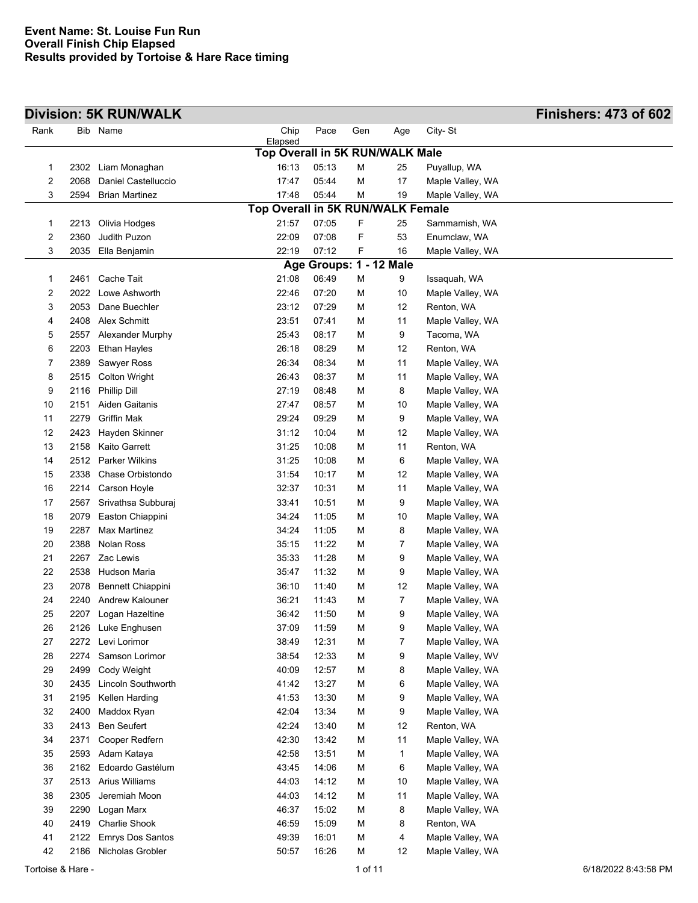|      |      | <b>Division: 5K RUN/WALK</b> |                                            |                         |     |              |                  | <b>Finishers: 473 of 602</b> |
|------|------|------------------------------|--------------------------------------------|-------------------------|-----|--------------|------------------|------------------------------|
| Rank |      | Bib Name                     | Chip                                       | Pace                    | Gen | Age          | City-St          |                              |
|      |      |                              | Elapsed<br>Top Overall in 5K RUN/WALK Male |                         |     |              |                  |                              |
| 1    | 2302 | Liam Monaghan                | 16:13                                      | 05:13                   | M   | 25           | Puyallup, WA     |                              |
| 2    | 2068 | Daniel Castelluccio          | 17:47                                      | 05:44                   | M   | 17           | Maple Valley, WA |                              |
| 3    | 2594 | <b>Brian Martinez</b>        | 17:48                                      | 05:44                   | М   | 19           | Maple Valley, WA |                              |
|      |      |                              | Top Overall in 5K RUN/WALK Female          |                         |     |              |                  |                              |
| 1    | 2213 | Olivia Hodges                | 21:57                                      | 07:05                   | F   | 25           | Sammamish, WA    |                              |
| 2    | 2360 | Judith Puzon                 | 22:09                                      | 07:08                   | F   | 53           | Enumclaw, WA     |                              |
| 3    | 2035 | Ella Benjamin                | 22:19                                      | 07:12                   | F   | 16           | Maple Valley, WA |                              |
|      |      |                              |                                            | Age Groups: 1 - 12 Male |     |              |                  |                              |
| 1    | 2461 | Cache Tait                   | 21:08                                      | 06:49                   | M   | 9            | Issaquah, WA     |                              |
| 2    | 2022 | Lowe Ashworth                | 22:46                                      | 07:20                   | Μ   | 10           | Maple Valley, WA |                              |
| 3    | 2053 | Dane Buechler                | 23:12                                      | 07:29                   | Μ   | 12           | Renton, WA       |                              |
| 4    | 2408 | Alex Schmitt                 | 23:51                                      | 07:41                   | Μ   | 11           | Maple Valley, WA |                              |
| 5    | 2557 | Alexander Murphy             | 25:43                                      | 08:17                   | М   | 9            | Tacoma, WA       |                              |
| 6    | 2203 | <b>Ethan Hayles</b>          | 26:18                                      | 08:29                   | М   | 12           | Renton, WA       |                              |
| 7    | 2389 | Sawyer Ross                  | 26:34                                      | 08:34                   | М   | 11           | Maple Valley, WA |                              |
| 8    | 2515 | <b>Colton Wright</b>         | 26:43                                      | 08:37                   | М   | 11           | Maple Valley, WA |                              |
| 9    | 2116 | Phillip Dill                 | 27:19                                      | 08:48                   | М   | 8            | Maple Valley, WA |                              |
| 10   | 2151 | Aiden Gaitanis               | 27:47                                      | 08:57                   | М   | 10           | Maple Valley, WA |                              |
| 11   | 2279 | <b>Griffin Mak</b>           | 29:24                                      | 09:29                   | М   | 9            | Maple Valley, WA |                              |
| 12   | 2423 | Hayden Skinner               | 31:12                                      | 10:04                   | М   | 12           | Maple Valley, WA |                              |
| 13   | 2158 | <b>Kaito Garrett</b>         | 31:25                                      | 10:08                   | М   | 11           | Renton, WA       |                              |
| 14   | 2512 | <b>Parker Wilkins</b>        | 31:25                                      | 10:08                   | М   | 6            | Maple Valley, WA |                              |
| 15   | 2338 | Chase Orbistondo             | 31:54                                      | 10:17                   | М   | 12           | Maple Valley, WA |                              |
| 16   | 2214 | Carson Hoyle                 | 32:37                                      | 10:31                   | М   | 11           | Maple Valley, WA |                              |
| 17   | 2567 | Srivathsa Subburaj           | 33:41                                      | 10:51                   | М   | 9            | Maple Valley, WA |                              |
| 18   | 2079 | Easton Chiappini             | 34:24                                      | 11:05                   | М   | 10           | Maple Valley, WA |                              |
| 19   | 2287 | Max Martinez                 | 34:24                                      | 11:05                   | М   | 8            | Maple Valley, WA |                              |
| 20   | 2388 | Nolan Ross                   | 35:15                                      | 11:22                   | М   | 7            | Maple Valley, WA |                              |
| 21   | 2267 | Zac Lewis                    | 35:33                                      | 11:28                   | М   | 9            | Maple Valley, WA |                              |
| 22   | 2538 | Hudson Maria                 | 35:47                                      | 11:32                   | М   | 9            | Maple Valley, WA |                              |
| 23   | 2078 | <b>Bennett Chiappini</b>     | 36:10                                      | 11:40                   | М   | 12           | Maple Valley, WA |                              |
| 24   | 2240 | Andrew Kalouner              | 36:21                                      | 11:43                   | М   | 7            | Maple Valley, WA |                              |
| 25   | 2207 | Logan Hazeltine              | 36:42                                      | 11:50                   | м   | 9            | Maple Valley, WA |                              |
| 26   |      | 2126 Luke Enghusen           | 37:09                                      | 11:59                   | М   | 9            | Maple Valley, WA |                              |
| 27   | 2272 | Levi Lorimor                 | 38:49                                      | 12:31                   | М   | 7            | Maple Valley, WA |                              |
| 28   | 2274 | Samson Lorimor               | 38:54                                      | 12:33                   | М   | 9            | Maple Valley, WV |                              |
| 29   | 2499 | Cody Weight                  | 40:09                                      | 12:57                   | М   | 8            | Maple Valley, WA |                              |
| 30   | 2435 | Lincoln Southworth           | 41:42                                      | 13:27                   | М   | 6            | Maple Valley, WA |                              |
| 31   | 2195 | Kellen Harding               | 41:53                                      | 13:30                   | М   | 9            | Maple Valley, WA |                              |
| 32   | 2400 | Maddox Ryan                  | 42:04                                      | 13:34                   | М   | 9            | Maple Valley, WA |                              |
| 33   | 2413 | <b>Ben Seufert</b>           | 42:24                                      | 13:40                   | М   | 12           | Renton, WA       |                              |
| 34   | 2371 | Cooper Redfern               | 42:30                                      | 13:42                   | М   | 11           | Maple Valley, WA |                              |
| 35   | 2593 | Adam Kataya                  | 42:58                                      | 13:51                   | М   | $\mathbf{1}$ | Maple Valley, WA |                              |
| 36   | 2162 | Edoardo Gastélum             | 43:45                                      | 14:06                   | М   | 6            | Maple Valley, WA |                              |
| 37   | 2513 | Arius Williams               | 44:03                                      | 14:12                   | М   | 10           | Maple Valley, WA |                              |
| 38   | 2305 | Jeremiah Moon                | 44:03                                      | 14:12                   | М   | 11           | Maple Valley, WA |                              |
| 39   | 2290 | Logan Marx                   | 46:37                                      | 15:02                   | М   | 8            | Maple Valley, WA |                              |
| 40   | 2419 | Charlie Shook                | 46:59                                      | 15:09                   | М   | 8            | Renton, WA       |                              |
| 41   | 2122 | <b>Emrys Dos Santos</b>      | 49:39                                      | 16:01                   | М   | 4            | Maple Valley, WA |                              |
| 42   |      | 2186 Nicholas Grobler        | 50:57                                      | 16:26                   | М   | 12           | Maple Valley, WA |                              |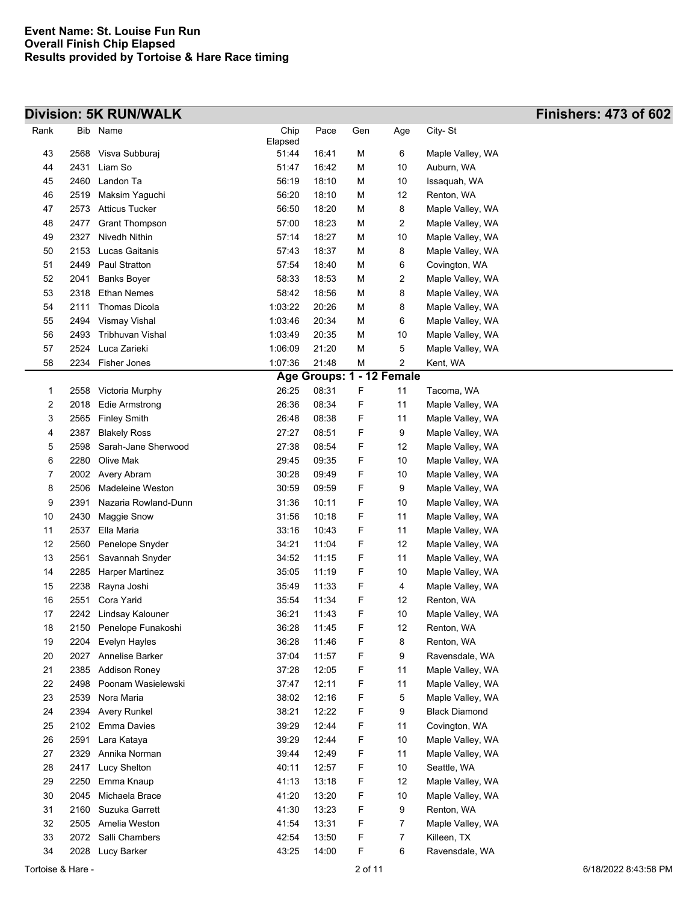| Rank     | Bib          | Name                      | Chip           | Pace                      | Gen | Age      | City-St                        |
|----------|--------------|---------------------------|----------------|---------------------------|-----|----------|--------------------------------|
|          |              |                           | Elapsed        |                           |     |          |                                |
| 43<br>44 | 2568<br>2431 | Visva Subburaj<br>Liam So | 51:44          | 16:41<br>16:42            | M   | 6        | Maple Valley, WA<br>Auburn, WA |
|          |              |                           | 51:47          |                           | M   | 10       |                                |
| 45<br>46 | 2460<br>2519 | Landon Ta                 | 56:19<br>56:20 | 18:10<br>18:10            | M   | 10<br>12 | Issaquah, WA<br>Renton, WA     |
|          |              | Maksim Yaguchi            |                |                           | M   |          |                                |
| 47       | 2573         | <b>Atticus Tucker</b>     | 56:50          | 18:20                     | M   | 8        | Maple Valley, WA               |
| 48       | 2477         | <b>Grant Thompson</b>     | 57:00          | 18:23                     | M   | 2        | Maple Valley, WA               |
| 49       | 2327         | Nivedh Nithin             | 57:14          | 18:27                     | M   | 10       | Maple Valley, WA               |
| 50       | 2153         | Lucas Gaitanis            | 57:43          | 18:37                     | M   | 8        | Maple Valley, WA               |
| 51       | 2449         | Paul Stratton             | 57:54          | 18:40                     | M   | 6        | Covington, WA                  |
| 52       | 2041         | <b>Banks Boyer</b>        | 58:33          | 18:53                     | M   | 2        | Maple Valley, WA               |
| 53       | 2318         | <b>Ethan Nemes</b>        | 58:42          | 18:56                     | M   | 8        | Maple Valley, WA               |
| 54       | 2111         | Thomas Dicola             | 1:03:22        | 20:26                     | M   | 8        | Maple Valley, WA               |
| 55       |              | 2494 Vismay Vishal        | 1:03:46        | 20:34                     | M   | 6        | Maple Valley, WA               |
| 56       | 2493         | Tribhuvan Vishal          | 1.03.49        | 20:35                     | M   | 10       | Maple Valley, WA               |
| 57       | 2524         | Luca Zarieki              | 1:06:09        | 21:20                     | M   | 5        | Maple Valley, WA               |
| 58       | 2234         | Fisher Jones              | 1.07.36        | 21:48                     | M   | 2        | Kent, WA                       |
|          |              |                           |                | Age Groups: 1 - 12 Female |     |          |                                |
| 1        | 2558         | Victoria Murphy           | 26:25          | 08:31                     | F   | 11       | Tacoma, WA                     |
| 2        | 2018         | <b>Edie Armstrong</b>     | 26:36          | 08:34                     | F   | 11       | Maple Valley, WA               |
| 3        | 2565         | <b>Finley Smith</b>       | 26:48          | 08:38                     | F   | 11       | Maple Valley, WA               |
| 4        | 2387         | <b>Blakely Ross</b>       | 27:27          | 08:51                     | F   | 9        | Maple Valley, WA               |
| 5        | 2598         | Sarah-Jane Sherwood       | 27:38          | 08:54                     | F   | 12       | Maple Valley, WA               |
| 6        | 2280         | Olive Mak                 | 29:45          | 09:35                     | F   | 10       | Maple Valley, WA               |
| 7        | 2002         | Avery Abram               | 30:28          | 09:49                     | F   | 10       | Maple Valley, WA               |
| 8        | 2506         | <b>Madeleine Weston</b>   | 30:59          | 09:59                     | F   | 9        | Maple Valley, WA               |
| 9        | 2391         | Nazaria Rowland-Dunn      | 31:36          | 10:11                     | F   | 10       | Maple Valley, WA               |
| 10       | 2430         | Maggie Snow               | 31:56          | 10:18                     | F   | 11       | Maple Valley, WA               |
| 11       | 2537         | Ella Maria                | 33:16          | 10:43                     | F   | 11       | Maple Valley, WA               |
| 12       | 2560         | Penelope Snyder           | 34:21          | 11:04                     | F   | 12       | Maple Valley, WA               |
| 13       | 2561         | Savannah Snyder           | 34:52          | 11:15                     | F   | 11       | Maple Valley, WA               |
| 14       | 2285         | <b>Harper Martinez</b>    | 35:05          | 11:19                     | F   | 10       | Maple Valley, WA               |
| 15       | 2238         | Rayna Joshi               | 35:49          | 11:33                     | F   | 4        | Maple Valley, WA               |
| 16       | 2551         | Cora Yarid                | 35:54          | 11:34                     | F   | 12       | Renton, WA                     |
| 17       | 2242         | Lindsay Kalouner          | 36:21          | 11:43                     | F   | 10       | Maple Valley, WA               |
| 18       |              | 2150 Penelope Funakoshi   | 36:28          | 11:45                     | F   | 12       | Renton, WA                     |
| 19       | 2204         | Evelyn Hayles             | 36:28          | 11:46                     | F   | 8        | Renton, WA                     |
| 20       | 2027         | Annelise Barker           | 37:04          | 11:57                     | F   | 9        | Ravensdale, WA                 |
| 21       | 2385         | <b>Addison Roney</b>      | 37:28          | 12:05                     | F   | 11       | Maple Valley, WA               |
| 22       | 2498         | Poonam Wasielewski        | 37:47          | 12:11                     | F   | 11       | Maple Valley, WA               |
| 23       | 2539         | Nora Maria                | 38:02          | 12:16                     | F   | 5        | Maple Valley, WA               |
| 24       | 2394         | <b>Avery Runkel</b>       | 38:21          | 12:22                     | F   | 9        | <b>Black Diamond</b>           |
| 25       | 2102         | Emma Davies               | 39:29          | 12:44                     | F   | 11       | Covington, WA                  |
| 26       | 2591         | Lara Kataya               | 39:29          | 12:44                     | F   | 10       | Maple Valley, WA               |
| 27       | 2329         | Annika Norman             | 39:44          | 12:49                     | F   | 11       | Maple Valley, WA               |
| 28       | 2417         | Lucy Shelton              | 40:11          | 12:57                     | F   | 10       | Seattle, WA                    |
| 29       | 2250         | Emma Knaup                | 41:13          | 13:18                     | F   | 12       | Maple Valley, WA               |
| 30       | 2045         | Michaela Brace            | 41:20          | 13:20                     | F   | 10       | Maple Valley, WA               |
| 31       | 2160         | Suzuka Garrett            | 41:30          | 13:23                     | F   | 9        | Renton, WA                     |
|          |              | Amelia Weston             | 41:54          | 13:31                     | F   | 7        | Maple Valley, WA               |
| 32       | 2505         |                           |                |                           |     |          |                                |
| 33       |              | 2072 Salli Chambers       | 42:54          | 13:50                     | F   | 7        | Killeen, TX                    |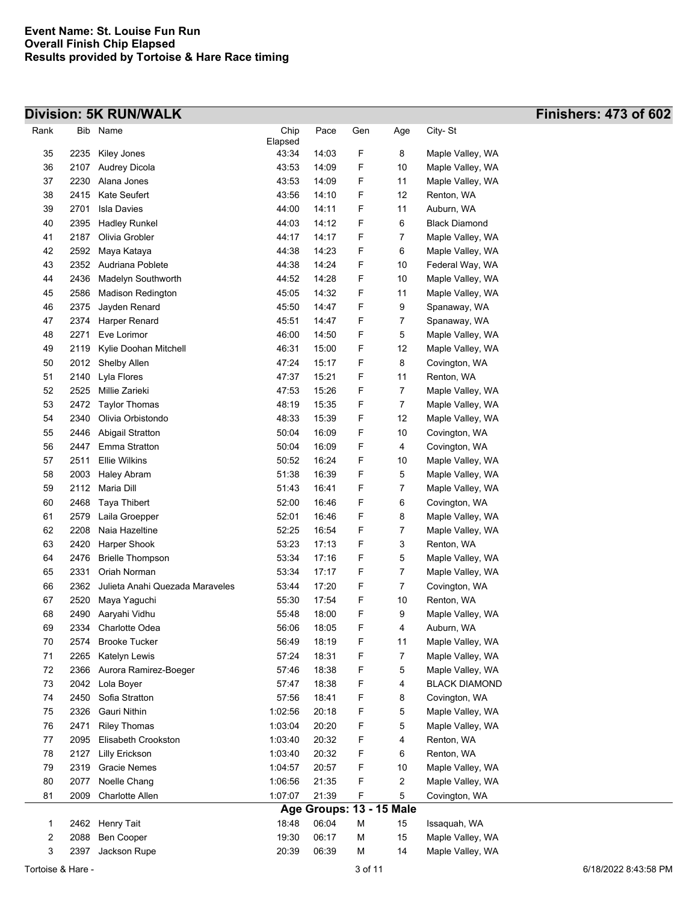| Rank | Bib  | Name                            | Chip             | Pace  | Gen | Age                      | City-St              |
|------|------|---------------------------------|------------------|-------|-----|--------------------------|----------------------|
|      |      |                                 | Elapsed<br>43:34 | 14:03 |     |                          |                      |
| 35   | 2235 | Kiley Jones                     |                  |       | F   | 8                        | Maple Valley, WA     |
| 36   | 2107 | Audrey Dicola                   | 43:53            | 14:09 | F   | 10                       | Maple Valley, WA     |
| 37   | 2230 | Alana Jones                     | 43:53            | 14:09 | F   | 11                       | Maple Valley, WA     |
| 38   | 2415 | Kate Seufert                    | 43:56            | 14:10 | F   | 12                       | Renton, WA           |
| 39   | 2701 | <b>Isla Davies</b>              | 44:00            | 14:11 | F   | 11                       | Auburn, WA           |
| 40   | 2395 | <b>Hadley Runkel</b>            | 44:03            | 14:12 | F   | 6                        | <b>Black Diamond</b> |
| 41   | 2187 | Olivia Grobler                  | 44:17            | 14:17 | F   | 7                        | Maple Valley, WA     |
| 42   | 2592 | Maya Kataya                     | 44:38            | 14:23 | F   | 6                        | Maple Valley, WA     |
| 43   | 2352 | Audriana Poblete                | 44:38            | 14:24 | F   | 10                       | Federal Way, WA      |
| 44   | 2436 | Madelyn Southworth              | 44:52            | 14:28 | F   | 10                       | Maple Valley, WA     |
| 45   | 2586 | <b>Madison Redington</b>        | 45:05            | 14:32 | F   | 11                       | Maple Valley, WA     |
| 46   | 2375 | Jayden Renard                   | 45:50            | 14:47 | F   | 9                        | Spanaway, WA         |
| 47   | 2374 | Harper Renard                   | 45.51            | 14:47 | F   | 7                        | Spanaway, WA         |
| 48   | 2271 | Eve Lorimor                     | 46:00            | 14:50 | F   | 5                        | Maple Valley, WA     |
| 49   | 2119 | Kylie Doohan Mitchell           | 46:31            | 15:00 | F   | 12                       | Maple Valley, WA     |
| 50   | 2012 | <b>Shelby Allen</b>             | 47:24            | 15:17 | F   | 8                        | Covington, WA        |
| 51   | 2140 | Lyla Flores                     | 47:37            | 15:21 | F   | 11                       | Renton, WA           |
| 52   | 2525 | Millie Zarieki                  | 47:53            | 15:26 | F   | 7                        | Maple Valley, WA     |
| 53   | 2472 | <b>Taylor Thomas</b>            | 48:19            | 15:35 | F   | $\overline{7}$           | Maple Valley, WA     |
| 54   | 2340 | Olivia Orbistondo               | 48:33            | 15:39 | F   | 12                       | Maple Valley, WA     |
| 55   | 2446 | <b>Abigail Stratton</b>         | 50:04            | 16:09 | F   | 10                       | Covington, WA        |
| 56   | 2447 | <b>Emma Stratton</b>            | 50:04            | 16:09 | F   | 4                        | Covington, WA        |
| 57   | 2511 | <b>Ellie Wilkins</b>            | 50:52            | 16:24 | F   | 10                       | Maple Valley, WA     |
| 58   | 2003 | <b>Haley Abram</b>              | 51:38            | 16:39 | F   | 5                        | Maple Valley, WA     |
| 59   | 2112 | Maria Dill                      | 51:43            | 16:41 | F   | 7                        | Maple Valley, WA     |
| 60   | 2468 | Taya Thibert                    | 52:00            | 16:46 | F   | 6                        | Covington, WA        |
| 61   | 2579 | Laila Groepper                  | 52:01            | 16:46 | F   | 8                        | Maple Valley, WA     |
| 62   | 2208 | Naia Hazeltine                  | 52:25            | 16:54 | F   | 7                        | Maple Valley, WA     |
| 63   | 2420 | Harper Shook                    | 53:23            | 17:13 | F   | 3                        | Renton, WA           |
| 64   | 2476 | <b>Brielle Thompson</b>         | 53:34            | 17:16 | F   | 5                        | Maple Valley, WA     |
| 65   | 2331 | Oriah Norman                    | 53:34            | 17:17 | F   | 7                        | Maple Valley, WA     |
| 66   | 2362 | Julieta Anahi Quezada Maraveles | 53:44            | 17:20 | F   | 7                        | Covington, WA        |
| 67   | 2520 | Maya Yaguchi                    | 55:30            | 17:54 | F   | 10                       | Renton, WA           |
| 68   | 2490 | Aaryahi Vidhu                   | 55:48            | 18:00 | F   | 9                        | Maple Valley, WA     |
| 69   | 2334 | <b>Charlotte Odea</b>           | 56:06            | 18:05 | F   | 4                        | Auburn, WA           |
| 70   | 2574 | <b>Brooke Tucker</b>            | 56:49            | 18:19 | F   | 11                       | Maple Valley, WA     |
| 71   | 2265 | Katelyn Lewis                   | 57:24            | 18:31 | F   | 7                        | Maple Valley, WA     |
| 72   | 2366 | Aurora Ramirez-Boeger           | 57:46            | 18:38 | F   | 5                        | Maple Valley, WA     |
| 73   | 2042 | Lola Boyer                      | 57:47            | 18:38 | F   | 4                        | <b>BLACK DIAMOND</b> |
| 74   | 2450 | Sofia Stratton                  | 57:56            | 18:41 | F   | 8                        | Covington, WA        |
| 75   | 2326 | Gauri Nithin                    | 1:02:56          | 20:18 | F   | 5                        | Maple Valley, WA     |
| 76   | 2471 | <b>Riley Thomas</b>             | 1:03:04          | 20:20 | F   | 5                        | Maple Valley, WA     |
| 77   | 2095 | Elisabeth Crookston             | 1:03:40          | 20:32 | F   | 4                        | Renton, WA           |
| 78   | 2127 | <b>Lilly Erickson</b>           | 1:03:40          | 20:32 | F   | 6                        | Renton, WA           |
| 79   | 2319 | <b>Gracie Nemes</b>             | 1:04:57          | 20:57 | F   | 10                       | Maple Valley, WA     |
| 80   | 2077 | Noelle Chang                    | 1.06:56          | 21:35 | F   | 2                        | Maple Valley, WA     |
| 81   | 2009 | Charlotte Allen                 | 1:07:07          | 21:39 | F   | 5                        | Covington, WA        |
|      |      |                                 |                  |       |     | Age Groups: 13 - 15 Male |                      |
| 1    | 2462 | Henry Tait                      | 18:48            | 06:04 | M   | 15                       | Issaquah, WA         |
| 2    | 2088 | Ben Cooper                      | 19:30            | 06:17 | M   | 15                       | Maple Valley, WA     |
| 3    | 2397 | Jackson Rupe                    | 20:39            | 06:39 | M   | 14                       | Maple Valley, WA     |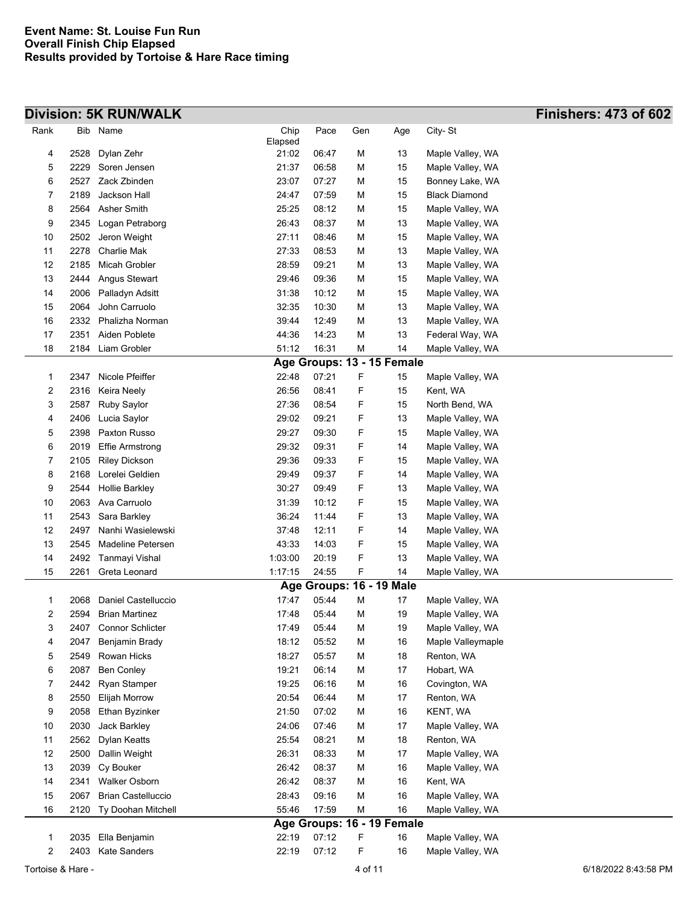| Rank | Bib  | Name                      | Chip    | Pace               | Gen | Age                        | City-St              |
|------|------|---------------------------|---------|--------------------|-----|----------------------------|----------------------|
|      |      |                           | Elapsed |                    |     |                            |                      |
| 4    | 2528 | Dylan Zehr                | 21:02   | 06:47              | M   | 13                         | Maple Valley, WA     |
| 5    | 2229 | Soren Jensen              | 21:37   | 06:58              | M   | 15                         | Maple Valley, WA     |
| 6    | 2527 | Zack Zbinden              | 23:07   | 07:27              | M   | 15                         | Bonney Lake, WA      |
| 7    | 2189 | Jackson Hall              | 24:47   | 07:59              | M   | 15                         | <b>Black Diamond</b> |
| 8    | 2564 | Asher Smith               | 25:25   | 08:12              | M   | 15                         | Maple Valley, WA     |
| 9    | 2345 | Logan Petraborg           | 26:43   | 08:37              | M   | 13                         | Maple Valley, WA     |
| 10   | 2502 | Jeron Weight              | 27:11   | 08:46              | M   | 15                         | Maple Valley, WA     |
| 11   | 2278 | Charlie Mak               | 27:33   | 08:53              | M   | 13                         | Maple Valley, WA     |
| 12   | 2185 | Micah Grobler             | 28:59   | 09:21              | M   | 13                         | Maple Valley, WA     |
| 13   | 2444 | Angus Stewart             | 29:46   | 09:36              | М   | 15                         | Maple Valley, WA     |
| 14   | 2006 | Palladyn Adsitt           | 31:38   | 10:12              | М   | 15                         | Maple Valley, WA     |
| 15   | 2064 | John Carruolo             | 32:35   | 10:30              | М   | 13                         | Maple Valley, WA     |
| 16   | 2332 | Phalizha Norman           | 39:44   | 12:49              | M   | 13                         | Maple Valley, WA     |
| 17   | 2351 | Aiden Poblete             | 44:36   | 14:23              | M   | 13                         | Federal Way, WA      |
| 18   | 2184 | Liam Grobler              | 51:12   | 16:31              | M   | 14                         | Maple Valley, WA     |
|      |      |                           |         |                    |     | Age Groups: 13 - 15 Female |                      |
| 1    | 2347 | Nicole Pfeiffer           | 22:48   | 07:21              | F   | 15                         | Maple Valley, WA     |
| 2    | 2316 | Keira Neely               | 26:56   | 08:41              | F   | 15                         | Kent, WA             |
| 3    | 2587 | Ruby Saylor               | 27:36   | 08:54              | F   | 15                         | North Bend, WA       |
| 4    | 2406 | Lucia Saylor              | 29:02   | 09:21              | F   | 13                         | Maple Valley, WA     |
| 5    | 2398 | Paxton Russo              | 29:27   | 09:30              | F   | 15                         | Maple Valley, WA     |
| 6    | 2019 | <b>Effie Armstrong</b>    | 29:32   | 09:31              | F   | 14                         | Maple Valley, WA     |
| 7    | 2105 | <b>Riley Dickson</b>      | 29:36   | 09:33              | F   | 15                         | Maple Valley, WA     |
| 8    | 2168 | Lorelei Geldien           | 29:49   | 09:37              | F   | 14                         | Maple Valley, WA     |
| 9    | 2544 | <b>Hollie Barkley</b>     | 30:27   | 09:49              | F   | 13                         | Maple Valley, WA     |
| 10   | 2063 | Ava Carruolo              | 31:39   | 10:12              | F   | 15                         | Maple Valley, WA     |
| 11   | 2543 | Sara Barkley              | 36:24   | 11:44              | F   | 13                         | Maple Valley, WA     |
| 12   | 2497 | Nanhi Wasielewski         | 37:48   | 12:11              | F   | 14                         | Maple Valley, WA     |
| 13   | 2545 | Madeline Petersen         | 43:33   | 14:03              | F   | 15                         | Maple Valley, WA     |
| 14   | 2492 | Tanmayi Vishal            | 1:03:00 | 20:19              | F   | 13                         | Maple Valley, WA     |
| 15   | 2261 | Greta Leonard             | 1:17:15 | 24:55              | F   | 14                         | Maple Valley, WA     |
|      |      |                           |         | <b>Age Groups:</b> |     | 16 - 19 Male               |                      |
| 1    | 2068 | Daniel Castelluccio       | 17:47   | 05:44              | M   | 17                         | Maple Valley, WA     |
| 2    | 2594 | <b>Brian Martinez</b>     | 17:48   | 05:44              | М   | 19                         | Maple Valley, WA     |
| 3    | 2407 | <b>Connor Schlicter</b>   | 17:49   | 05:44              | М   | 19                         | Maple Valley, WA     |
| 4    | 2047 | Benjamin Brady            | 18:12   | 05:52              | M   | 16                         | Maple Valleymaple    |
| 5    | 2549 | Rowan Hicks               | 18:27   | 05:57              | M   | 18                         | Renton, WA           |
| 6    | 2087 | <b>Ben Conley</b>         | 19:21   | 06:14              | M   | 17                         | Hobart, WA           |
| 7    | 2442 | Ryan Stamper              | 19:25   | 06:16              | M   | 16                         | Covington, WA        |
| 8    | 2550 | <b>Elijah Morrow</b>      | 20:54   | 06:44              | M   | 17                         | Renton, WA           |
| 9    | 2058 | Ethan Byzinker            | 21:50   | 07:02              | M   | 16                         | KENT, WA             |
| 10   | 2030 | Jack Barkley              | 24:06   | 07:46              | M   | 17                         | Maple Valley, WA     |
| 11   | 2562 | Dylan Keatts              | 25:54   | 08:21              | M   | 18                         | Renton, WA           |
| 12   | 2500 | Dallin Weight             | 26:31   | 08:33              | M   | 17                         | Maple Valley, WA     |
| 13   | 2039 | Cy Bouker                 | 26:42   | 08:37              | M   | 16                         | Maple Valley, WA     |
| 14   | 2341 | <b>Walker Osborn</b>      | 26:42   | 08:37              | M   | 16                         | Kent, WA             |
| 15   | 2067 | <b>Brian Castelluccio</b> | 28:43   | 09:16              | M   | 16                         | Maple Valley, WA     |
| 16   | 2120 | Ty Doohan Mitchell        | 55:46   | 17:59              | M   | 16                         | Maple Valley, WA     |
|      |      |                           |         |                    |     | Age Groups: 16 - 19 Female |                      |
| 1    | 2035 | Ella Benjamin             | 22:19   | 07:12              | F   | 16                         | Maple Valley, WA     |
| 2    | 2403 | Kate Sanders              | 22:19   | 07:12              | F   | 16                         | Maple Valley, WA     |
|      |      |                           |         |                    |     |                            |                      |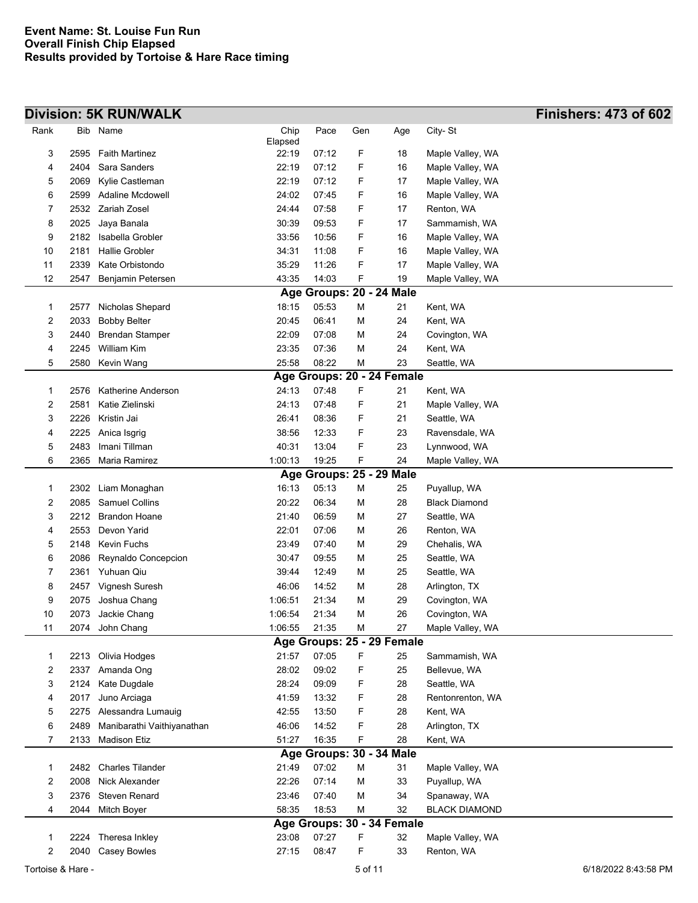| Rank         | Bib  | Name                       | Chip    | Pace  | Gen | Age                         | City-St              |
|--------------|------|----------------------------|---------|-------|-----|-----------------------------|----------------------|
|              |      |                            | Elapsed |       |     |                             |                      |
| 3            | 2595 | <b>Faith Martinez</b>      | 22:19   | 07:12 | F   | 18                          | Maple Valley, WA     |
| 4            | 2404 | Sara Sanders               | 22:19   | 07:12 | F   | 16                          | Maple Valley, WA     |
| 5            | 2069 | Kylie Castleman            | 22:19   | 07:12 | F   | 17                          | Maple Valley, WA     |
| 6            | 2599 | <b>Adaline Mcdowell</b>    | 24:02   | 07:45 | F   | 16                          | Maple Valley, WA     |
| 7            | 2532 | Zariah Zosel               | 24:44   | 07:58 | F   | 17                          | Renton, WA           |
| 8            | 2025 | Jaya Banala                | 30:39   | 09:53 | F   | 17                          | Sammamish, WA        |
| 9            | 2182 | Isabella Grobler           | 33:56   | 10:56 | F   | 16                          | Maple Valley, WA     |
| 10           | 2181 | <b>Hallie Grobler</b>      | 34:31   | 11:08 | F   | 16                          | Maple Valley, WA     |
| 11           | 2339 | Kate Orbistondo            | 35:29   | 11:26 | F   | 17                          | Maple Valley, WA     |
| 12           | 2547 | Benjamin Petersen          | 43:35   | 14:03 | F   | 19                          | Maple Valley, WA     |
|              |      |                            | Age     |       |     | <b>Groups: 20 - 24 Male</b> |                      |
| 1            | 2577 | Nicholas Shepard           | 18:15   | 05:53 | М   | 21                          | Kent, WA             |
| 2            | 2033 | <b>Bobby Belter</b>        | 20:45   | 06:41 | M   | 24                          | Kent, WA             |
| 3            | 2440 | <b>Brendan Stamper</b>     | 22:09   | 07:08 | M   | 24                          | Covington, WA        |
| 4            | 2245 | <b>William Kim</b>         | 23:35   | 07:36 | M   | 24                          | Kent, WA             |
| 5            | 2580 | Kevin Wang                 | 25:58   | 08:22 | M   | 23                          | Seattle, WA          |
|              |      |                            |         |       |     | Age Groups: 20 - 24 Female  |                      |
| 1            | 2576 | Katherine Anderson         | 24:13   | 07:48 | F   | 21                          | Kent, WA             |
| 2            | 2581 | Katie Zielinski            | 24:13   | 07:48 | F   | 21                          | Maple Valley, WA     |
| 3            | 2226 | Kristin Jai                | 26:41   | 08:36 | F   | 21                          | Seattle, WA          |
| 4            | 2225 | Anica Isgrig               | 38:56   | 12:33 | F   | 23                          | Ravensdale, WA       |
| 5            | 2483 | Imani Tillman              | 40:31   | 13:04 | F   | 23                          | Lynnwood, WA         |
| 6            | 2365 | Maria Ramirez              | 1.00:13 | 19:25 | F   | 24                          | Maple Valley, WA     |
|              |      |                            |         |       |     | Age Groups: 25 - 29 Male    |                      |
| 1            | 2302 | Liam Monaghan              | 16:13   | 05:13 | M   | 25                          | Puyallup, WA         |
| 2            | 2085 | <b>Samuel Collins</b>      | 20:22   | 06:34 | M   | 28                          | <b>Black Diamond</b> |
| 3            | 2212 | <b>Brandon Hoane</b>       | 21:40   | 06:59 | M   | 27                          | Seattle, WA          |
| 4            | 2553 | Devon Yarid                | 22:01   | 07:06 | M   | 26                          | Renton, WA           |
| 5            | 2148 | Kevin Fuchs                | 23:49   | 07:40 | M   | 29                          | Chehalis, WA         |
| 6            | 2086 | Reynaldo Concepcion        | 30:47   | 09:55 | M   | 25                          | Seattle, WA          |
| 7            | 2361 | Yuhuan Qiu                 | 39:44   | 12:49 | M   | 25                          | Seattle, WA          |
| 8            | 2457 | Vignesh Suresh             | 46:06   | 14:52 | м   | 28                          | Arlington, TX        |
| 9            | 2075 | Joshua Chang               | 1:06:51 | 21:34 | м   | 29                          | Covington, WA        |
| 10           | 2073 | Jackie Chang               | 1:06:54 | 21:34 | M   | 26                          | Covington, WA        |
| 11           | 2074 | John Chang                 | 1.06:55 | 21:35 | M   | 27                          | Maple Valley, WA     |
|              |      |                            |         |       |     | Age Groups: 25 - 29 Female  |                      |
| 1            | 2213 | Olivia Hodges              | 21:57   | 07:05 | F   | 25                          | Sammamish, WA        |
| 2            | 2337 | Amanda Ong                 | 28:02   | 09:02 | F   | 25                          | Bellevue, WA         |
| 3            | 2124 | Kate Dugdale               | 28:24   | 09:09 | F   | 28                          | Seattle, WA          |
| 4            | 2017 | Juno Arciaga               | 41:59   | 13:32 | F   | 28                          | Rentonrenton, WA     |
| 5            | 2275 | Alessandra Lumauig         | 42:55   | 13:50 | F   | 28                          | Kent, WA             |
| 6            | 2489 | Manibarathi Vaithiyanathan | 46:06   | 14:52 | F   | 28                          | Arlington, TX        |
| 7            | 2133 | <b>Madison Etiz</b>        | 51:27   | 16:35 | F   | 28                          | Kent, WA             |
|              |      |                            |         |       |     | Age Groups: 30 - 34 Male    |                      |
| $\mathbf{1}$ |      | 2482 Charles Tilander      | 21:49   | 07:02 | М   | 31                          | Maple Valley, WA     |
| 2            | 2008 | Nick Alexander             | 22:26   | 07:14 | M   | 33                          | Puyallup, WA         |
| 3            | 2376 | Steven Renard              | 23:46   | 07:40 | М   | 34                          | Spanaway, WA         |
| 4            | 2044 | Mitch Boyer                | 58:35   | 18:53 | М   | 32                          | <b>BLACK DIAMOND</b> |
|              |      |                            |         |       |     | Age Groups: 30 - 34 Female  |                      |
| 1            | 2224 | Theresa Inkley             | 23:08   | 07:27 | F   | 32                          | Maple Valley, WA     |
| 2            | 2040 | <b>Casey Bowles</b>        | 27:15   | 08:47 | F   | 33                          | Renton, WA           |
|              |      |                            |         |       |     |                             |                      |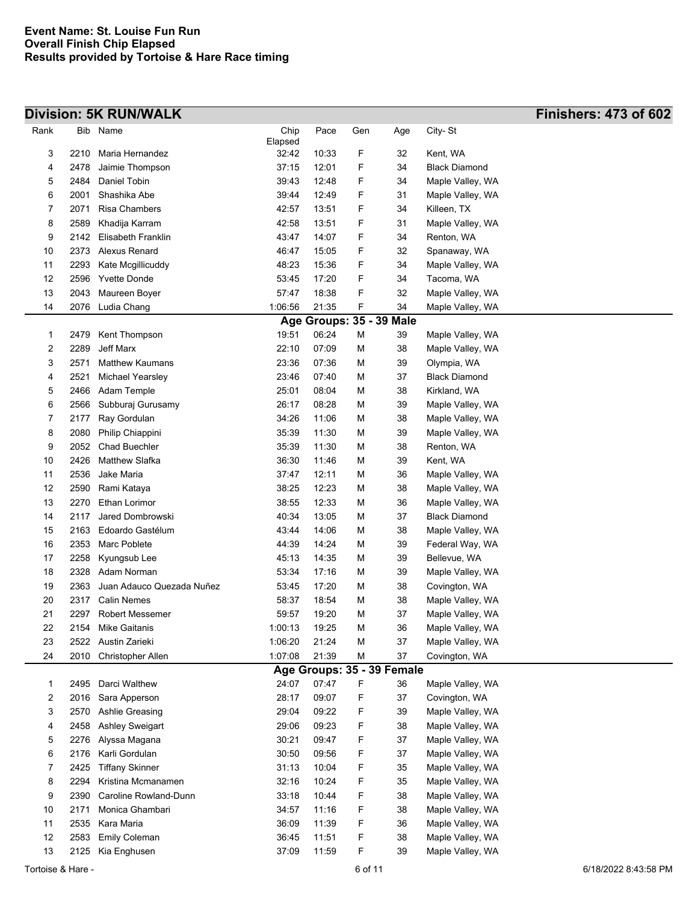| Rank        | Bib  | Name                      | Chip    | Pace               | Gen | Age                        | City-St              |
|-------------|------|---------------------------|---------|--------------------|-----|----------------------------|----------------------|
|             |      |                           | Elapsed |                    |     |                            |                      |
| 3           | 2210 | Maria Hernandez           | 32:42   | 10:33              | F   | 32                         | Kent, WA             |
| 4           | 2478 | Jaimie Thompson           | 37:15   | 12:01              | F   | 34                         | <b>Black Diamond</b> |
| 5           | 2484 | Daniel Tobin              | 39:43   | 12:48              | F   | 34                         | Maple Valley, WA     |
| 6           | 2001 | Shashika Abe              | 39:44   | 12:49              | F   | 31                         | Maple Valley, WA     |
| 7           | 2071 | <b>Risa Chambers</b>      | 42:57   | 13:51              | F   | 34                         | Killeen, TX          |
| 8           | 2589 | Khadija Karram            | 42:58   | 13:51              | F   | 31                         | Maple Valley, WA     |
| 9           | 2142 | Elisabeth Franklin        | 43:47   | 14:07              | F   | 34                         | Renton, WA           |
| 10          | 2373 | Alexus Renard             | 46:47   | 15:05              | F   | 32                         | Spanaway, WA         |
| 11          | 2293 | Kate Mcgillicuddy         | 48:23   | 15:36              | F   | 34                         | Maple Valley, WA     |
| 12          | 2596 | <b>Yvette Donde</b>       | 53:45   | 17:20              | F   | 34                         | Tacoma, WA           |
| 13          | 2043 | Maureen Boyer             | 57:47   | 18:38              | F   | 32                         | Maple Valley, WA     |
| 14          | 2076 | Ludia Chang               | 1:06:56 | 21:35              | F   | 34                         | Maple Valley, WA     |
|             |      |                           |         | <b>Age Groups:</b> |     | 35 - 39 Male               |                      |
| 1           | 2479 | Kent Thompson             | 19:51   | 06:24              | M   | 39                         | Maple Valley, WA     |
| 2           | 2289 | Jeff Marx                 | 22:10   | 07:09              | M   | 38                         | Maple Valley, WA     |
| 3           | 2571 | <b>Matthew Kaumans</b>    | 23:36   | 07:36              | M   | 39                         | Olympia, WA          |
| 4           | 2521 | Michael Yearsley          | 23:46   | 07:40              | M   | 37                         | <b>Black Diamond</b> |
| 5           | 2466 | Adam Temple               | 25:01   | 08:04              | M   | 38                         | Kirkland, WA         |
| 6           | 2566 | Subburaj Gurusamy         | 26:17   | 08:28              | M   | 39                         | Maple Valley, WA     |
| 7           | 2177 | Ray Gordulan              | 34:26   | 11:06              | M   | 38                         | Maple Valley, WA     |
| 8           | 2080 | Philip Chiappini          | 35:39   | 11:30              | M   | 39                         | Maple Valley, WA     |
| 9           | 2052 | <b>Chad Buechler</b>      | 35:39   | 11:30              | M   | 38                         | Renton, WA           |
| 10          | 2426 | <b>Matthew Slafka</b>     | 36:30   | 11:46              | M   | 39                         | Kent, WA             |
| 11          | 2536 | Jake Maria                | 37:47   | 12:11              | M   | 36                         | Maple Valley, WA     |
| 12          | 2590 | Rami Kataya               | 38:25   | 12:23              | M   | 38                         | Maple Valley, WA     |
| 13          | 2270 | Ethan Lorimor             | 38:55   | 12:33              | M   | 36                         | Maple Valley, WA     |
| 14          | 2117 | Jared Dombrowski          | 40:34   | 13:05              | M   | 37                         | <b>Black Diamond</b> |
| 15          | 2163 | Edoardo Gastélum          | 43:44   | 14:06              | M   | 38                         | Maple Valley, WA     |
| 16          | 2353 | Marc Poblete              | 44:39   | 14:24              | M   | 39                         | Federal Way, WA      |
| 17          | 2258 | Kyungsub Lee              | 45:13   | 14:35              | M   | 39                         | Bellevue, WA         |
| 18          | 2328 | Adam Norman               | 53:34   | 17:16              | M   | 39                         | Maple Valley, WA     |
| 19          | 2363 | Juan Adauco Quezada Nuñez | 53:45   | 17:20              | M   | 38                         | Covington, WA        |
| 20          | 2317 | <b>Calin Nemes</b>        | 58:37   | 18:54              | M   | 38                         | Maple Valley, WA     |
| 21          | 2297 | <b>Robert Messemer</b>    | 59:57   | 19:20              | M   | 37                         | Maple Valley, WA     |
| 22          | 2154 | <b>Mike Gaitanis</b>      | 1:00:13 | 19:25              | M   | 36                         | Maple Valley, WA     |
| 23          |      | 2522 Austin Zarieki       | 1:06:20 | 21:24              | M   | 37                         | Maple Valley, WA     |
| 24          | 2010 | Christopher Allen         | 1:07:08 | 21:39              | M   | 37                         | Covington, WA        |
|             |      |                           |         |                    |     | Age Groups: 35 - 39 Female |                      |
| $\mathbf 1$ | 2495 | Darci Walthew             | 24:07   | 07:47              | F   | 36                         | Maple Valley, WA     |
| 2           | 2016 | Sara Apperson             | 28:17   | 09:07              | F   | 37                         | Covington, WA        |
| 3           | 2570 | Ashlie Greasing           | 29:04   | 09:22              | F   | 39                         | Maple Valley, WA     |
| 4           | 2458 | <b>Ashley Sweigart</b>    | 29:06   | 09:23              | F   | 38                         | Maple Valley, WA     |
| 5           | 2276 | Alyssa Magana             | 30:21   | 09:47              | F   | 37                         | Maple Valley, WA     |
| 6           | 2176 | Karli Gordulan            | 30:50   | 09:56              | F   | 37                         | Maple Valley, WA     |
| 7           | 2425 | <b>Tiffany Skinner</b>    | 31:13   | 10:04              | F   | 35                         | Maple Valley, WA     |
| 8           | 2294 | Kristina Mcmanamen        | 32:16   | 10:24              | F   | 35                         | Maple Valley, WA     |
| 9           | 2390 | Caroline Rowland-Dunn     | 33:18   | 10:44              | F   | 38                         | Maple Valley, WA     |
| 10          | 2171 | Monica Ghambari           | 34:57   | 11:16              | F   | 38                         | Maple Valley, WA     |
| 11          | 2535 | Kara Maria                | 36:09   | 11:39              | F   | 36                         | Maple Valley, WA     |
| 12          | 2583 | <b>Emily Coleman</b>      | 36:45   | 11:51              | F   | 38                         | Maple Valley, WA     |
| 13          | 2125 | Kia Enghusen              | 37:09   | 11:59              | F   | 39                         | Maple Valley, WA     |
|             |      |                           |         |                    |     |                            |                      |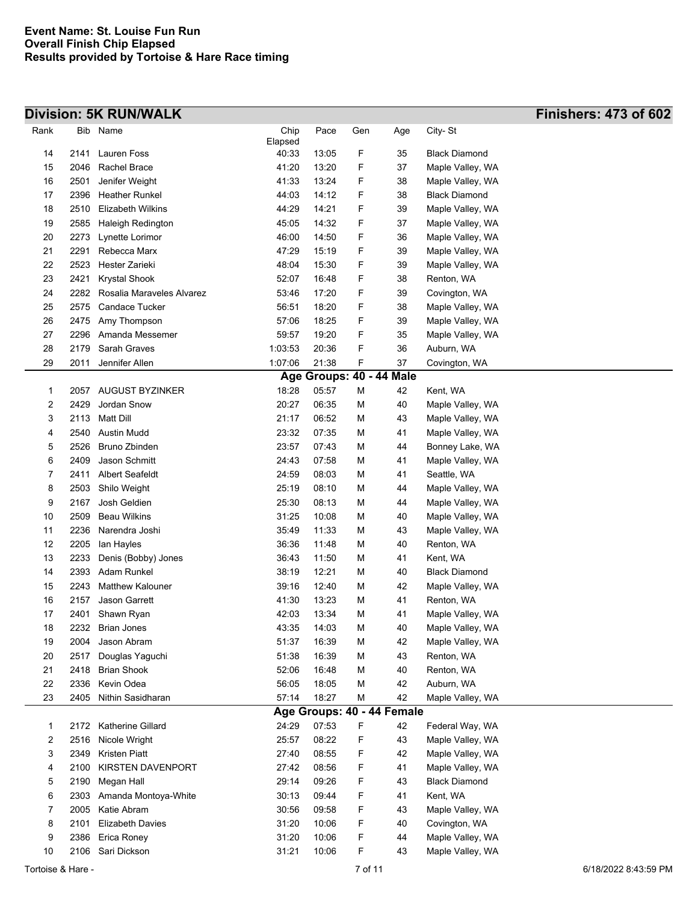| Rank | Bib  | Name                      | Chip             | Pace               | Gen                        | Age          | City-St              |
|------|------|---------------------------|------------------|--------------------|----------------------------|--------------|----------------------|
| 14   | 2141 | Lauren Foss               | Elapsed<br>40:33 | 13:05              | F                          | 35           | <b>Black Diamond</b> |
| 15   | 2046 | Rachel Brace              | 41:20            | 13:20              | F                          | 37           | Maple Valley, WA     |
| 16   | 2501 | Jenifer Weight            | 41:33            | 13:24              | F                          | 38           | Maple Valley, WA     |
| 17   | 2396 | <b>Heather Runkel</b>     | 44:03            | 14:12              | F                          | 38           | <b>Black Diamond</b> |
| 18   | 2510 | Elizabeth Wilkins         | 44:29            | 14:21              | F                          | 39           | Maple Valley, WA     |
| 19   | 2585 | Haleigh Redington         | 45:05            | 14:32              | F                          | 37           | Maple Valley, WA     |
| 20   | 2273 | Lynette Lorimor           | 46:00            | 14:50              | F                          | 36           | Maple Valley, WA     |
| 21   | 2291 | Rebecca Marx              | 47:29            | 15:19              | F                          | 39           | Maple Valley, WA     |
| 22   | 2523 | Hester Zarieki            | 48:04            | 15:30              | F                          | 39           | Maple Valley, WA     |
| 23   | 2421 | Krystal Shook             | 52:07            | 16:48              | F                          | 38           | Renton, WA           |
| 24   | 2282 | Rosalia Maraveles Alvarez | 53:46            | 17:20              | F                          | 39           | Covington, WA        |
| 25   | 2575 | Candace Tucker            | 56:51            | 18:20              | F                          | 38           | Maple Valley, WA     |
| 26   | 2475 | Amy Thompson              | 57:06            | 18:25              | F                          | 39           | Maple Valley, WA     |
| 27   | 2296 | Amanda Messemer           | 59:57            | 19:20              | F                          | 35           | Maple Valley, WA     |
| 28   | 2179 | Sarah Graves              | 1:03:53          | 20:36              | F                          | 36           | Auburn, WA           |
| 29   | 2011 | Jennifer Allen            | 1:07:06          | 21:38              | F                          | 37           | Covington, WA        |
|      |      |                           |                  | <b>Age Groups:</b> |                            | 40 - 44 Male |                      |
| 1    | 2057 | <b>AUGUST BYZINKER</b>    | 18:28            | 05:57              | M                          | 42           | Kent, WA             |
| 2    | 2429 | Jordan Snow               | 20:27            | 06:35              | M                          | 40           | Maple Valley, WA     |
| 3    | 2113 | Matt Dill                 | 21:17            | 06:52              | M                          | 43           | Maple Valley, WA     |
| 4    | 2540 | Austin Mudd               | 23:32            | 07:35              | M                          | 41           | Maple Valley, WA     |
| 5    | 2526 | <b>Bruno Zbinden</b>      | 23:57            | 07:43              | M                          | 44           | Bonney Lake, WA      |
| 6    | 2409 | Jason Schmitt             | 24:43            | 07:58              | M                          | 41           | Maple Valley, WA     |
| 7    | 2411 | <b>Albert Seafeldt</b>    | 24:59            | 08:03              | M                          | 41           | Seattle, WA          |
| 8    | 2503 | Shilo Weight              | 25:19            | 08:10              | M                          | 44           | Maple Valley, WA     |
| 9    | 2167 | Josh Geldien              | 25:30            | 08:13              | M                          | 44           | Maple Valley, WA     |
| 10   | 2509 | <b>Beau Wilkins</b>       | 31:25            | 10:08              | M                          | 40           | Maple Valley, WA     |
| 11   | 2236 | Narendra Joshi            | 35:49            | 11:33              | M                          | 43           | Maple Valley, WA     |
| 12   | 2205 | lan Hayles                | 36:36            | 11:48              | M                          | 40           | Renton, WA           |
| 13   | 2233 | Denis (Bobby) Jones       | 36:43            | 11:50              | M                          | 41           | Kent, WA             |
| 14   | 2393 | Adam Runkel               | 38:19            | 12:21              | M                          | 40           | <b>Black Diamond</b> |
| 15   | 2243 | Matthew Kalouner          | 39:16            | 12:40              | M                          | 42           | Maple Valley, WA     |
| 16   | 2157 | Jason Garrett             | 41:30            | 13:23              | M                          | 41           | Renton, WA           |
| 17   | 2401 | Shawn Ryan                | 42:03            | 13:34              | M                          | 41           | Maple Valley, WA     |
| 18   | 2232 | <b>Brian Jones</b>        | 43:35            | 14:03              | M                          | 40           | Maple Valley, WA     |
| 19   | 2004 | Jason Abram               | 51:37            | 16:39              | M                          | 42           | Maple Valley, WA     |
| 20   | 2517 | Douglas Yaguchi           | 51:38            | 16:39              | M                          | 43           | Renton, WA           |
| 21   | 2418 | <b>Brian Shook</b>        | 52:06            | 16:48              | M                          | 40           | Renton, WA           |
| 22   | 2336 | Kevin Odea                | 56:05            | 18:05              | м                          | 42           | Auburn, WA           |
| 23   | 2405 | Nithin Sasidharan         | 57:14            | 18:27              | М                          | 42           | Maple Valley, WA     |
|      |      |                           |                  |                    | Age Groups: 40 - 44 Female |              |                      |
| 1    | 2172 | Katherine Gillard         | 24:29            | 07:53              | F                          | 42           | Federal Way, WA      |
| 2    | 2516 | Nicole Wright             | 25:57            | 08:22              | F                          | 43           | Maple Valley, WA     |
| 3    | 2349 | Kristen Piatt             | 27:40            | 08:55              | F                          | 42           | Maple Valley, WA     |
| 4    | 2100 | KIRSTEN DAVENPORT         | 27:42            | 08:56              | F                          | 41           | Maple Valley, WA     |
| 5    | 2190 | Megan Hall                | 29:14            | 09:26              | F                          | 43           | <b>Black Diamond</b> |
| 6    | 2303 | Amanda Montoya-White      | 30:13            | 09:44              | F                          | 41           | Kent, WA             |
| 7    | 2005 | Katie Abram               | 30:56            | 09:58              | F                          | 43           | Maple Valley, WA     |
| 8    | 2101 | <b>Elizabeth Davies</b>   | 31:20            | 10:06              | F                          | 40           | Covington, WA        |
| 9    | 2386 | Erica Roney               | 31:20            | 10:06              | F                          | 44           | Maple Valley, WA     |
| 10   | 2106 | Sari Dickson              | 31:21            | 10:06              | F                          | 43           | Maple Valley, WA     |
|      |      |                           |                  |                    |                            |              |                      |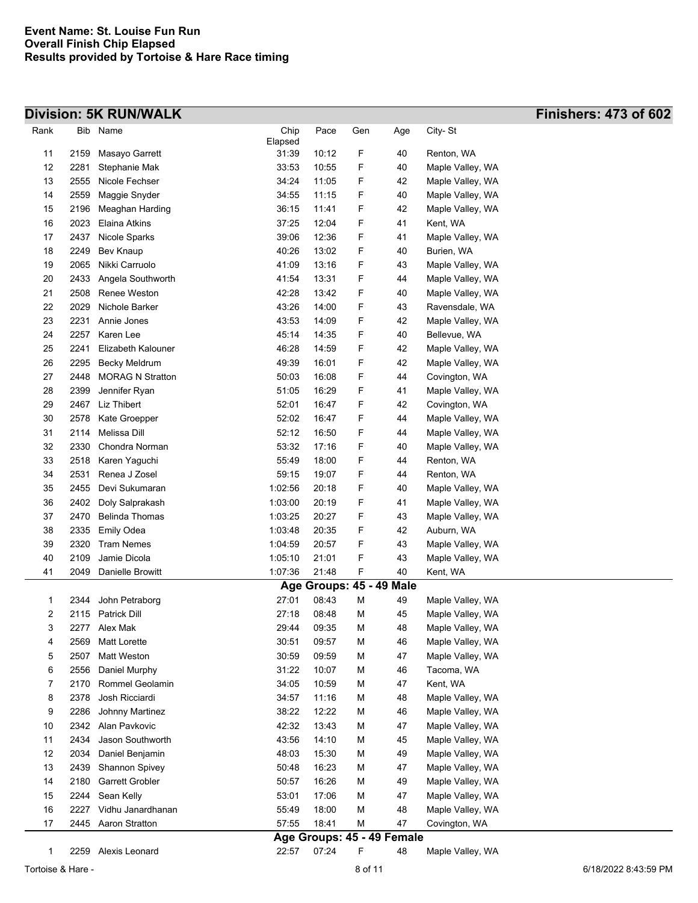| Rank | Bib  | Name                                     | Chip           | Pace               | Gen    | Age                        | City-St          |
|------|------|------------------------------------------|----------------|--------------------|--------|----------------------------|------------------|
|      |      |                                          | Elapsed        |                    |        |                            |                  |
| 11   | 2159 | Masayo Garrett                           | 31:39          | 10:12              | F      | 40                         | Renton, WA       |
| 12   | 2281 | Stephanie Mak                            | 33:53          | 10:55              | F      | 40                         | Maple Valley, WA |
| 13   | 2555 | Nicole Fechser                           | 34:24          | 11:05              | F      | 42                         | Maple Valley, WA |
| 14   | 2559 | Maggie Snyder                            | 34:55          | 11:15              | F      | 40                         | Maple Valley, WA |
| 15   | 2196 | Meaghan Harding                          | 36:15          | 11:41              | F      | 42                         | Maple Valley, WA |
| 16   | 2023 | Elaina Atkins                            | 37:25          | 12:04              | F      | 41                         | Kent, WA         |
| 17   | 2437 | Nicole Sparks                            | 39:06          | 12:36              | F      | 41                         | Maple Valley, WA |
| 18   | 2249 | Bev Knaup                                | 40:26          | 13:02              | F      | 40                         | Burien, WA       |
| 19   | 2065 | Nikki Carruolo                           | 41:09          | 13:16              | F      | 43                         | Maple Valley, WA |
| 20   | 2433 | Angela Southworth                        | 41:54          | 13:31              | F      | 44                         | Maple Valley, WA |
| 21   | 2508 | Renee Weston                             | 42:28          | 13:42              | F      | 40                         | Maple Valley, WA |
| 22   | 2029 | Nichole Barker                           | 43:26          | 14:00              | F      | 43                         | Ravensdale, WA   |
| 23   | 2231 | Annie Jones                              | 43.53          | 14:09              | F      | 42                         | Maple Valley, WA |
| 24   | 2257 | Karen Lee                                | 45:14          | 14:35              | F      | 40                         | Bellevue, WA     |
| 25   | 2241 | Elizabeth Kalouner                       | 46:28          | 14:59              | F      | 42                         | Maple Valley, WA |
| 26   | 2295 | <b>Becky Meldrum</b>                     | 49:39          | 16:01              | F      | 42                         | Maple Valley, WA |
| 27   | 2448 | <b>MORAG N Stratton</b>                  | 50:03          | 16:08              | F      | 44                         | Covington, WA    |
| 28   | 2399 | Jennifer Ryan                            | 51:05          | 16:29              | F      | 41                         | Maple Valley, WA |
| 29   | 2467 | Liz Thibert                              | 52:01          | 16:47              | F      | 42                         | Covington, WA    |
| 30   | 2578 | Kate Groepper                            | 52:02          | 16:47              | F      | 44                         | Maple Valley, WA |
| 31   | 2114 | Melissa Dill                             | 52:12          | 16:50              | F      | 44                         | Maple Valley, WA |
| 32   | 2330 | Chondra Norman                           | 53:32          | 17:16              | F      | 40                         | Maple Valley, WA |
| 33   | 2518 | Karen Yaguchi                            | 55:49          | 18:00              | F      | 44                         | Renton, WA       |
| 34   | 2531 | Renea J Zosel                            | 59:15          | 19:07              | F      | 44                         | Renton, WA       |
| 35   | 2455 | Devi Sukumaran                           | 1:02:56        | 20:18              | F      | 40                         | Maple Valley, WA |
| 36   | 2402 | Doly Salprakash                          | 1:03:00        | 20:19              | F      | 41                         | Maple Valley, WA |
| 37   | 2470 | Belinda Thomas                           | 1:03:25        | 20:27              | F      | 43                         | Maple Valley, WA |
| 38   | 2335 | <b>Emily Odea</b>                        | 1.03.48        | 20:35              | F      | 42                         | Auburn, WA       |
| 39   | 2320 | <b>Tram Nemes</b>                        | 1:04:59        | 20:57              | F      | 43                         | Maple Valley, WA |
| 40   | 2109 | Jamie Dicola                             | 1:05:10        | 21:01              | F      | 43                         | Maple Valley, WA |
| 41   | 2049 | Danielle Browitt                         | 1:07:36        | 21:48              | F      | 40                         | Kent, WA         |
|      |      |                                          |                | <b>Age Groups:</b> |        | 45 - 49 Male               |                  |
| 1    | 2344 | John Petraborg                           | 27:01          | 08:43              | M      | 49                         | Maple Valley, WA |
| 2    | 2115 | Patrick Dill                             | 27:18          | 08:48              | М      | 45                         | Maple Valley, WA |
| 3    | 2277 | Alex Mak                                 | 29:44          | 09:35              | M      | 48                         | Maple Valley, WA |
| 4    | 2569 | Matt Lorette                             | 30:51          | 09:57              | M      | 46                         | Maple Valley, WA |
| 5    | 2507 | Matt Weston                              | 30:59          | 09:59              | M      | 47                         | Maple Valley, WA |
| 6    | 2556 | Daniel Murphy                            | 31:22          | 10:07              | M      | 46                         | Tacoma, WA       |
| 7    | 2170 | Rommel Geolamin                          | 34:05          | 10:59              | М      | 47                         | Kent, WA         |
| 8    | 2378 | Josh Ricciardi                           | 34:57          | 11:16              | М      | 48                         | Maple Valley, WA |
| 9    | 2286 | Johnny Martinez                          | 38:22          | 12:22              | M      | 46                         | Maple Valley, WA |
| 10   | 2342 | Alan Pavkovic                            | 42:32          | 13:43              | М      | 47                         | Maple Valley, WA |
| 11   | 2434 | Jason Southworth                         | 43.56          | 14:10              | М      | 45                         | Maple Valley, WA |
| 12   | 2034 | Daniel Benjamin                          | 48:03          | 15:30              | M      | 49                         | Maple Valley, WA |
| 13   | 2439 |                                          | 50:48          |                    |        | 47                         | Maple Valley, WA |
| 14   | 2180 | <b>Shannon Spivey</b><br>Garrett Grobler | 50:57          | 16:23              | M      | 49                         | Maple Valley, WA |
| 15   | 2244 |                                          |                | 16:26              | M      | 47                         |                  |
|      | 2227 | Sean Kelly<br>Vidhu Janardhanan          | 53:01<br>55:49 | 17:06              | M<br>M | 48                         | Maple Valley, WA |
| 16   |      |                                          |                | 18:00              |        |                            | Maple Valley, WA |
| 17   | 2445 | Aaron Stratton                           | 57:55          | 18:41              | M      | 47                         | Covington, WA    |
|      |      |                                          |                |                    |        | Age Groups: 45 - 49 Female |                  |
| 1    |      | 2259 Alexis Leonard                      | 22:57          | 07:24              | F      | 48                         | Maple Valley, WA |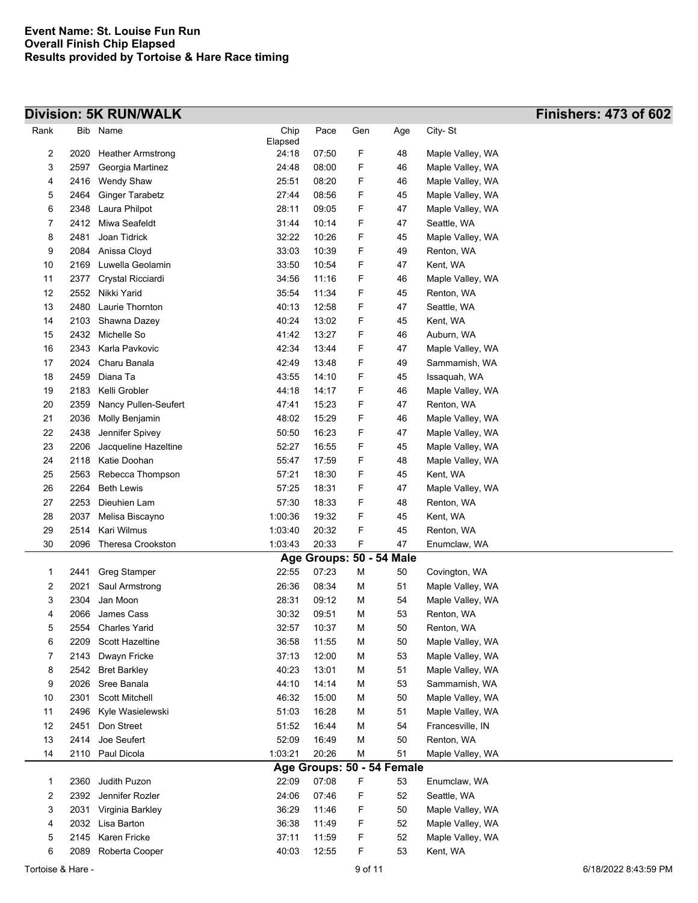| Rank         | Bib  | Name                     | Chip    | Pace  | Gen | Age                        | City-St          |
|--------------|------|--------------------------|---------|-------|-----|----------------------------|------------------|
|              |      |                          | Elapsed |       |     |                            |                  |
| 2            | 2020 | <b>Heather Armstrong</b> | 24:18   | 07:50 | F   | 48                         | Maple Valley, WA |
| 3            | 2597 | Georgia Martinez         | 24:48   | 08:00 | F   | 46                         | Maple Valley, WA |
| 4            | 2416 | <b>Wendy Shaw</b>        | 25:51   | 08:20 | F   | 46                         | Maple Valley, WA |
| 5            | 2464 | <b>Ginger Tarabetz</b>   | 27:44   | 08:56 | F   | 45                         | Maple Valley, WA |
| 6            | 2348 | Laura Philpot            | 28:11   | 09:05 | F   | 47                         | Maple Valley, WA |
| 7            | 2412 | Miwa Seafeldt            | 31:44   | 10:14 | F   | 47                         | Seattle, WA      |
| 8            | 2481 | Joan Tidrick             | 32:22   | 10:26 | F   | 45                         | Maple Valley, WA |
| 9            | 2084 | Anissa Cloyd             | 33:03   | 10:39 | F   | 49                         | Renton, WA       |
| 10           | 2169 | Luwella Geolamin         | 33:50   | 10:54 | F   | 47                         | Kent, WA         |
| 11           | 2377 | Crystal Ricciardi        | 34:56   | 11:16 | F   | 46                         | Maple Valley, WA |
| 12           | 2552 | Nikki Yarid              | 35:54   | 11:34 | F   | 45                         | Renton, WA       |
| 13           | 2480 | Laurie Thornton          | 40:13   | 12:58 | F   | 47                         | Seattle, WA      |
| 14           | 2103 | Shawna Dazey             | 40:24   | 13:02 | F   | 45                         | Kent, WA         |
| 15           | 2432 | Michelle So              | 41:42   | 13:27 | F   | 46                         | Auburn, WA       |
| 16           | 2343 | Karla Pavkovic           | 42:34   | 13:44 | F   | 47                         | Maple Valley, WA |
| 17           | 2024 | Charu Banala             | 42:49   | 13:48 | F   | 49                         | Sammamish, WA    |
| 18           | 2459 | Diana Ta                 | 43:55   | 14:10 | F   | 45                         | Issaquah, WA     |
| 19           | 2183 | Kelli Grobler            | 44:18   | 14:17 | F   | 46                         | Maple Valley, WA |
| 20           | 2359 | Nancy Pullen-Seufert     | 47:41   | 15:23 | F   | 47                         | Renton, WA       |
| 21           | 2036 | Molly Benjamin           | 48:02   | 15:29 | F   | 46                         | Maple Valley, WA |
| 22           | 2438 | Jennifer Spivey          | 50:50   | 16:23 | F   | 47                         | Maple Valley, WA |
| 23           | 2206 | Jacqueline Hazeltine     | 52:27   | 16:55 | F   | 45                         | Maple Valley, WA |
| 24           | 2118 | Katie Doohan             | 55:47   | 17:59 |     | 48                         |                  |
|              |      |                          |         |       | F   |                            | Maple Valley, WA |
| 25           | 2563 | Rebecca Thompson         | 57:21   | 18:30 | F   | 45                         | Kent, WA         |
| 26           | 2264 | <b>Beth Lewis</b>        | 57:25   | 18:31 | F   | 47                         | Maple Valley, WA |
| 27           | 2253 | Dieuhien Lam             | 57:30   | 18:33 | F   | 48                         | Renton, WA       |
| 28           | 2037 | Melisa Biscayno          | 1:00:36 | 19:32 | F   | 45                         | Kent, WA         |
| 29           | 2514 | Kari Wilmus              | 1:03:40 | 20:32 | F   | 45                         | Renton, WA       |
| 30           | 2096 | Theresa Crookston        | 1.03.43 | 20:33 | F   | 47                         | Enumclaw, WA     |
|              |      |                          |         |       |     | Age Groups: 50 - 54 Male   |                  |
| 1            | 2441 | <b>Greg Stamper</b>      | 22:55   | 07:23 | М   | 50                         | Covington, WA    |
| 2            | 2021 | Saul Armstrong           | 26:36   | 08:34 | M   | 51                         | Maple Valley, WA |
| 3            | 2304 | Jan Moon                 | 28:31   | 09:12 | M   | 54                         | Maple Valley, WA |
| 4            | 2066 | James Cass               | 30:32   | 09:51 | M   | 53                         | Renton, WA       |
| 5            | 2554 | <b>Charles Yarid</b>     | 32:57   | 10:37 | М   | 50                         | Renton, WA       |
| 6            | 2209 | Scott Hazeltine          | 36:58   | 11:55 | M   | 50                         | Maple Valley, WA |
| 7            | 2143 | Dwayn Fricke             | 37:13   | 12:00 | М   | 53                         | Maple Valley, WA |
| 8            | 2542 | <b>Bret Barkley</b>      | 40:23   | 13:01 | M   | 51                         | Maple Valley, WA |
| 9            | 2026 | Sree Banala              | 44:10   | 14:14 | M   | 53                         | Sammamish, WA    |
| 10           | 2301 | Scott Mitchell           | 46:32   | 15:00 | M   | 50                         | Maple Valley, WA |
| 11           | 2496 | Kyle Wasielewski         | 51:03   | 16:28 | M   | 51                         | Maple Valley, WA |
| 12           | 2451 | Don Street               | 51:52   | 16:44 | M   | 54                         | Francesville, IN |
| 13           | 2414 | Joe Seufert              | 52:09   | 16:49 | М   | 50                         | Renton, WA       |
| 14           | 2110 | Paul Dicola              | 1:03:21 | 20:26 | M   | 51                         | Maple Valley, WA |
|              |      |                          |         |       |     | Age Groups: 50 - 54 Female |                  |
| $\mathbf{1}$ | 2360 | Judith Puzon             | 22:09   | 07:08 | F   | 53                         | Enumclaw, WA     |
| 2            | 2392 | Jennifer Rozler          | 24:06   | 07:46 | F   | 52                         | Seattle, WA      |
| 3            | 2031 | Virginia Barkley         | 36:29   | 11:46 | F   | 50                         | Maple Valley, WA |
| 4            | 2032 | Lisa Barton              | 36:38   | 11:49 | F   | 52                         | Maple Valley, WA |
| 5            | 2145 | Karen Fricke             | 37:11   | 11:59 | F   | 52                         | Maple Valley, WA |
| 6            | 2089 | Roberta Cooper           | 40:03   | 12:55 | F   | 53                         | Kent, WA         |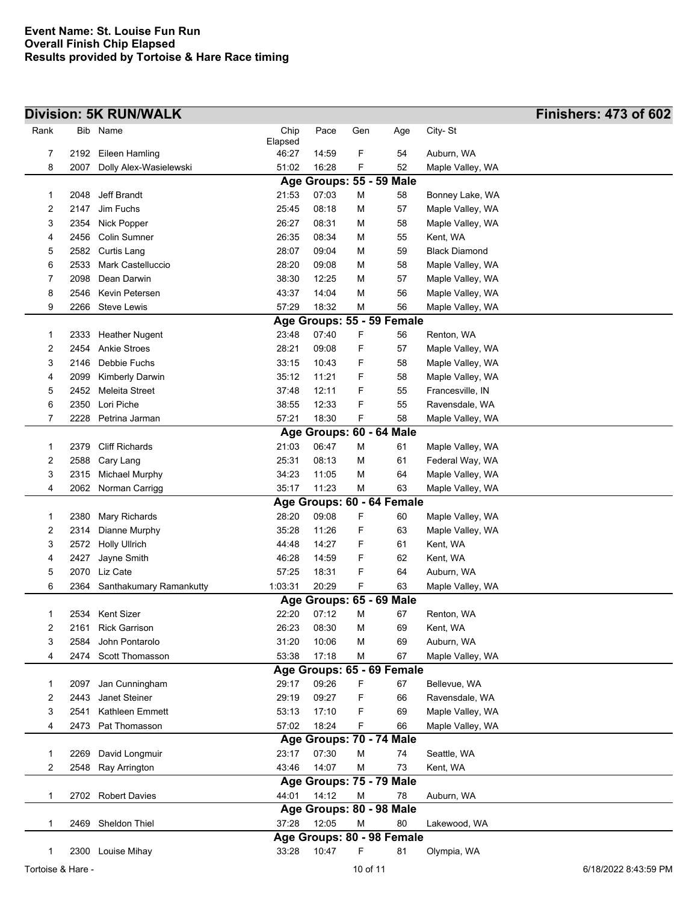|              |              | <b>Division: 5K RUN/WALK</b>                    |                 |                |          |                            |                                      | <b>Finishers: 473 of 602</b> |
|--------------|--------------|-------------------------------------------------|-----------------|----------------|----------|----------------------------|--------------------------------------|------------------------------|
| Rank         |              | Bib Name                                        | Chip<br>Elapsed | Pace           | Gen      | Age                        | City-St                              |                              |
| 7            |              | 2192 Eileen Hamling                             | 46:27           | 14:59          | F        | 54                         | Auburn, WA                           |                              |
| 8            | 2007         | Dolly Alex-Wasielewski                          | 51:02           | 16:28          | F        | 52                         | Maple Valley, WA                     |                              |
|              |              |                                                 |                 |                |          | Age Groups: 55 - 59 Male   |                                      |                              |
| 1            | 2048         | Jeff Brandt                                     | 21:53           | 07:03          | м        | 58                         | Bonney Lake, WA                      |                              |
| 2            | 2147         | Jim Fuchs                                       | 25:45           | 08:18          | M        | 57                         | Maple Valley, WA                     |                              |
| 3            | 2354         | <b>Nick Popper</b>                              | 26:27           | 08:31          | M        | 58                         | Maple Valley, WA                     |                              |
| 4            | 2456         | <b>Colin Sumner</b>                             | 26:35           | 08:34          | M        | 55                         | Kent, WA                             |                              |
| 5            | 2582         | <b>Curtis Lang</b>                              | 28:07           | 09:04          | M        | 59                         | <b>Black Diamond</b>                 |                              |
| 6            | 2533         | Mark Castelluccio                               | 28:20           | 09:08          | M        | 58                         | Maple Valley, WA                     |                              |
| 7            | 2098         | Dean Darwin                                     | 38:30           | 12:25          | M        | 57                         | Maple Valley, WA                     |                              |
| 8            | 2546         | Kevin Petersen                                  | 43:37           | 14:04          | M        | 56                         | Maple Valley, WA                     |                              |
| 9            | 2266         | <b>Steve Lewis</b>                              | 57:29           | 18:32          | M        | 56                         | Maple Valley, WA                     |                              |
|              |              |                                                 |                 |                |          | Age Groups: 55 - 59 Female |                                      |                              |
| $\mathbf{1}$ | 2333         | <b>Heather Nugent</b>                           | 23:48           | 07:40          | F        | 56                         | Renton, WA                           |                              |
| 2            | 2454         | <b>Ankie Stroes</b>                             | 28:21           | 09:08          | F        | 57                         | Maple Valley, WA                     |                              |
| 3            | 2146         | Debbie Fuchs                                    | 33:15           | 10:43          | F        | 58                         | Maple Valley, WA                     |                              |
| 4            | 2099<br>2452 | <b>Kimberly Darwin</b><br><b>Meleita Street</b> | 35:12<br>37:48  | 11:21<br>12:11 | F        | 58                         | Maple Valley, WA<br>Francesville, IN |                              |
| 5            | 2350         | Lori Piche                                      | 38:55           | 12:33          | F<br>F   | 55<br>55                   | Ravensdale, WA                       |                              |
| 6<br>7       |              |                                                 | 57:21           | 18:30          |          | 58                         |                                      |                              |
|              | 2228         | Petrina Jarman                                  |                 |                | F        | Age Groups: 60 - 64 Male   | Maple Valley, WA                     |                              |
| 1            | 2379         | <b>Cliff Richards</b>                           | 21:03           | 06:47          | M        | 61                         | Maple Valley, WA                     |                              |
| 2            | 2588         | Cary Lang                                       | 25:31           | 08:13          | M        | 61                         | Federal Way, WA                      |                              |
| 3            | 2315         | <b>Michael Murphy</b>                           | 34:23           | 11:05          | M        | 64                         | Maple Valley, WA                     |                              |
| 4            | 2062         | Norman Carrigg                                  | 35:17           | 11:23          | M        | 63                         | Maple Valley, WA                     |                              |
|              |              |                                                 |                 |                |          | Age Groups: 60 - 64 Female |                                      |                              |
| $\mathbf{1}$ | 2380         | <b>Mary Richards</b>                            | 28:20           | 09:08          | F        | 60                         | Maple Valley, WA                     |                              |
| 2            | 2314         | Dianne Murphy                                   | 35:28           | 11:26          | F        | 63                         | Maple Valley, WA                     |                              |
| 3            | 2572         | <b>Holly Ullrich</b>                            | 44:48           | 14:27          | F        | 61                         | Kent, WA                             |                              |
| 4            | 2427         | Jayne Smith                                     | 46:28           | 14:59          | F        | 62                         | Kent, WA                             |                              |
| 5            | 2070         | Liz Cate                                        | 57:25           | 18:31          | F        | 64                         | Auburn, WA                           |                              |
| 6            | 2364         | Santhakumary Ramankutty                         | 1:03:31         | 20:29          | F        | 63                         | Maple Valley, WA                     |                              |
|              |              |                                                 |                 |                |          | Age Groups: 65 - 69 Male   |                                      |                              |
|              |              | 2534 Kent Sizer                                 |                 | 22:20 07:12    | <b>M</b> | 67                         | Renton, WA                           |                              |
| 2            | 2161         | <b>Rick Garrison</b>                            | 26:23           | 08:30          | M        | 69                         | Kent, WA                             |                              |
| 3            | 2584         | John Pontarolo                                  | 31:20           | 10:06          | M        | 69                         | Auburn, WA                           |                              |
| 4            | 2474         | Scott Thomasson                                 | 53:38           | 17:18          | M        | 67                         | Maple Valley, WA                     |                              |
|              |              |                                                 |                 |                |          | Age Groups: 65 - 69 Female |                                      |                              |
| $\mathbf{1}$ | 2097         | Jan Cunningham                                  | 29:17           | 09:26          | F        | 67                         | Bellevue, WA                         |                              |
| 2            | 2443         | Janet Steiner                                   | 29:19           | 09:27          | F        | 66                         | Ravensdale, WA                       |                              |
| 3            | 2541         | Kathleen Emmett                                 | 53:13           | 17:10          | F        | 69                         | Maple Valley, WA                     |                              |
| 4            | 2473         | Pat Thomasson                                   | 57:02           | 18:24          | F        | 66                         | Maple Valley, WA                     |                              |
|              |              |                                                 |                 |                |          | Age Groups: 70 - 74 Male   |                                      |                              |
| 1            | 2269         | David Longmuir                                  | 23:17           | 07:30          | M        | 74                         | Seattle, WA                          |                              |
| 2            | 2548         | Ray Arrington                                   | 43:46           | 14:07          | M        | 73                         | Kent, WA                             |                              |
|              |              |                                                 |                 |                |          | Age Groups: 75 - 79 Male   |                                      |                              |
| 1            |              | 2702 Robert Davies                              | 44:01           | 14:12          | M        | 78                         | Auburn, WA                           |                              |
|              |              |                                                 |                 |                |          | Age Groups: 80 - 98 Male   |                                      |                              |
| 1            | 2469         | Sheldon Thiel                                   | 37:28           | 12:05          | M        | 80                         | Lakewood, WA                         |                              |
|              |              |                                                 |                 |                |          | Age Groups: 80 - 98 Female |                                      |                              |
| 1            |              | 2300 Louise Mihay                               | 33:28           | 10:47          | F        | 81                         | Olympia, WA                          |                              |